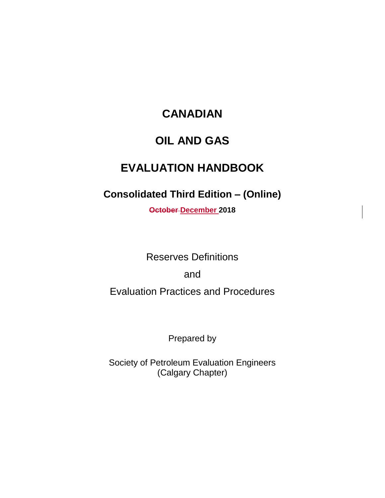# **CANADIAN**

### **OIL AND GAS**

# **EVALUATION HANDBOOK**

# **Consolidated Third Edition – (Online)**

**October December 2018**

Reserves Definitions

and

Evaluation Practices and Procedures

Prepared by

Society of Petroleum Evaluation Engineers (Calgary Chapter)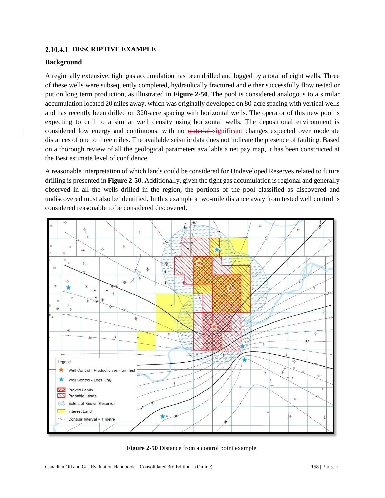#### **DESCRIPTIVE EXAMPLE**

#### **Background**

A regionally extensive, tight gas accumulation has been drilled and logged by a total of eight wells. Three of these wells were subsequently completed, hydraulically fractured and either successfully flow tested or put on long term production, as illustrated in **Figure 2-50**. The pool is considered analogous to a similar accumulation located 20 miles away, which was originally developed on 80-acre spacing with vertical wells and has recently been drilled on 320-acre spacing with horizontal wells. The operator of this new pool is expecting to drill to a similar well density using horizontal wells. The depositional environment is considered low energy and continuous, with no material significant changes expected over moderate distances of one to three miles. The available seismic data does not indicate the presence of faulting. Based on a thorough review of all the geological parameters available a net pay map, it has been constructed at the Best estimate level of confidence.

A reasonable interpretation of which lands could be considered for Undeveloped Reserves related to future drilling is presented in **Figure 2-50**. Additionally, given the tight gas accumulation is regional and generally observed in all the wells drilled in the region, the portions of the pool classified as discovered and undiscovered must also be identified. In this example a two-mile distance away from tested well control is considered reasonable to be considered discovered.



**Figure 2-50** Distance from a control point example.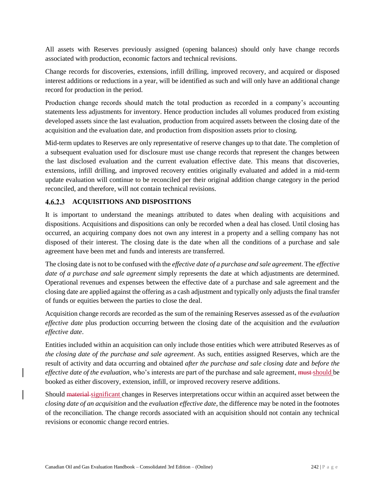All assets with Reserves previously assigned (opening balances) should only have change records associated with production, economic factors and technical revisions.

Change records for discoveries, extensions, infill drilling, improved recovery, and acquired or disposed interest additions or reductions in a year, will be identified as such and will only have an additional change record for production in the period.

Production change records should match the total production as recorded in a company's accounting statements less adjustments for inventory. Hence production includes all volumes produced from existing developed assets since the last evaluation, production from acquired assets between the closing date of the acquisition and the evaluation date, and production from disposition assets prior to closing.

Mid-term updates to Reserves are only representative of reserve changes up to that date. The completion of a subsequent evaluation used for disclosure must use change records that represent the changes between the last disclosed evaluation and the current evaluation effective date. This means that discoveries, extensions, infill drilling, and improved recovery entities originally evaluated and added in a mid-term update evaluation will continue to be reconciled per their original addition change category in the period reconciled, and therefore, will not contain technical revisions.

#### **ACQUISITIONS AND DISPOSITIONS**

It is important to understand the meanings attributed to dates when dealing with acquisitions and dispositions. Acquisitions and dispositions can only be recorded when a deal has closed. Until closing has occurred, an acquiring company does not own any interest in a property and a selling company has not disposed of their interest. The closing date is the date when all the conditions of a purchase and sale agreement have been met and funds and interests are transferred.

The closing date is not to be confused with the *effective date of a purchase and sale agreement*. The *effective date of a purchase and sale agreement* simply represents the date at which adjustments are determined. Operational revenues and expenses between the effective date of a purchase and sale agreement and the closing date are applied against the offering as a cash adjustment and typically only adjusts the final transfer of funds or equities between the parties to close the deal.

Acquisition change records are recorded as the sum of the remaining Reserves assessed as of the *evaluation effective date* plus production occurring between the closing date of the acquisition and the *evaluation effective date*.

Entities included within an acquisition can only include those entities which were attributed Reserves as of *the closing date of the purchase and sale agreement*. As such, entities assigned Reserves, which are the result of activity and data occurring and obtained *after the purchase and sale closing date* and *before the effective date of the evaluation*, who's interests are part of the purchase and sale agreement, must should be booked as either discovery, extension, infill, or improved recovery reserve additions.

Should material significant changes in Reserves interpretations occur within an acquired asset between the *closing date of an acquisition* and the *evaluation effective date,* the difference may be noted in the footnotes of the reconciliation. The change records associated with an acquisition should not contain any technical revisions or economic change record entries.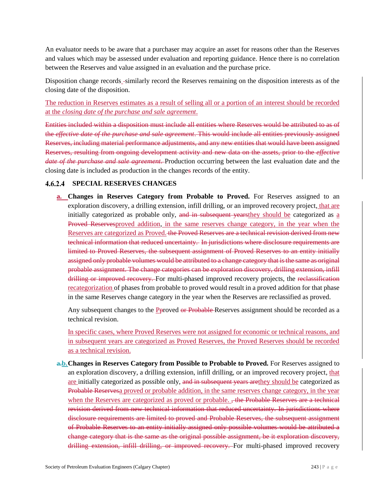An evaluator needs to be aware that a purchaser may acquire an asset for reasons other than the Reserves and values which may be assessed under evaluation and reporting guidance. Hence there is no correlation between the Reserves and value assigned in an evaluation and the purchase price.

Disposition change records similarly record the Reserves remaining on the disposition interests as of the closing date of the disposition.

The reduction in Reserves estimates as a result of selling all or a portion of an interest should be recorded at the *closing date of the purchase and sale agreement*.

Entities included within a disposition must include all entities where Reserves would be attributed to as of the *effective date of the purchase and sale agreement*. This would include all entities previously assigned Reserves, including material performance adjustments, and any new entities that would have been assigned Reserves, resulting from ongoing development activity and new data on the assets, prior to the *effective date of the purchase and sale agreement*. Production occurring between the last evaluation date and the closing date is included as production in the changes records of the entity.

#### **SPECIAL RESERVES CHANGES**

**a. Changes in Reserves Category from Probable to Proved.** For Reserves assigned to an exploration discovery, a drilling extension, infill drilling, or an improved recovery project, that are initially categorized as probable only, and in subsequent years they should be categorized as a Proved Reservesproved addition, in the same reserves change category, in the year when the Reserves are categorized as Proved. the Proved Reserves are a technical revision derived from new technical information that reduced uncertainty. In jurisdictions where disclosure requirements are limited to Proved Reserves, the subsequent assignment of Proved Reserves to an entity initially assigned only probable volumes would be attributed to a change category that is the same as original probable assignment. The change categories can be exploration discovery, drilling extension, infill drilling or improved recovery. For multi-phased improved recovery projects, the reclassification recategorization of phases from probable to proved would result in a proved addition for that phase in the same Reserves change category in the year when the Reserves are reclassified as proved.

Any subsequent changes to the **P**proved or Probable Reserves assignment should be recorded as a technical revision.

In specific cases, where Proved Reserves were not assigned for economic or technical reasons, and in subsequent years are categorized as Proved Reserves, the Proved Reserves should be recorded as a technical revision.

**a.b.Changes in Reserves Category from Possible to Probable to Proved.** For Reserves assigned to an exploration discovery, a drilling extension, infill drilling, or an improved recovery project, that are initially categorized as possible only, and in subsequent years are they should be categorized as Probable Reservesa proved or probable addition, in the same reserves change category, in the year when the Reserves are categorized as proved or probable. <del>, the Probable Reserves are a technical</del> revision derived from new technical information that reduced uncertainty. In jurisdictions where disclosure requirements are limited to proved and Probable Reserves, the subsequent assignment of Probable Reserves to an entity initially assigned only possible volumes would be attributed a change category that is the same as the original possible assignment, be it exploration discovery, drilling extension, infill drilling, or improved recovery. For multi-phased improved recovery